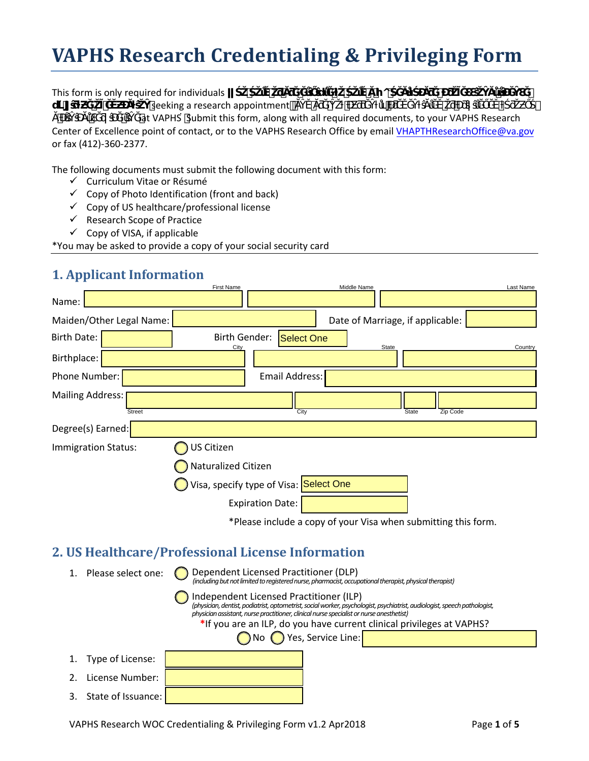# **VAPHS Research Credentialing & Privileging Form**

This form is only required for individuals **business in the same of the state of the state of the state of the state of the state of the state of the state of the state of the state of the state of the state of the state o** <del>₩ *v*</del> ₹ seeking a research appointment and  $\overline{A}$ at VAPHS Submit this form, along with all required documents, to your VAPHS Research

Center of Excellence point of contact, or to the VAPHS Research Office by emai[l VHAPTHResearchOffice@va.gov](mailto:VHAPTHResearchOffice@va.gov) or fax (412)-360-2377.

The following documents must submit the following document with this form:

- Curriculum Vitae or Résumé
- $\checkmark$  Copy of Photo Identification (front and back)
- $\checkmark$  Copy of US healthcare/professional license
- $\checkmark$  Research Scope of Practice
- $\checkmark$  Copy of VISA, if applicable

\*You may be asked to provide a copy of your social security card

#### **1. Applicant Information**

|                                   | <b>First Name</b>                      |                       | Middle Name |                                  |                                                                | Last Name |
|-----------------------------------|----------------------------------------|-----------------------|-------------|----------------------------------|----------------------------------------------------------------|-----------|
| Name:                             |                                        |                       |             |                                  |                                                                |           |
| Maiden/Other Legal Name:          |                                        |                       |             | Date of Marriage, if applicable: |                                                                |           |
| <b>Birth Date:</b>                | <b>Birth Gender:</b>                   | Select One            |             | State                            |                                                                | Country   |
| Birthplace:                       | City                                   |                       |             |                                  |                                                                |           |
| Phone Number:                     |                                        | <b>Email Address:</b> |             |                                  |                                                                |           |
| Mailing Address:<br><b>Street</b> |                                        | City                  |             | <b>State</b>                     | Zip Code                                                       |           |
| Degree(s) Earned:                 |                                        |                       |             |                                  |                                                                |           |
| Immigration Status:               | <b>JS Citizen</b>                      |                       |             |                                  |                                                                |           |
|                                   | Naturalized Citizen                    |                       |             |                                  |                                                                |           |
|                                   | Visa, specify type of Visa: Select One |                       |             |                                  |                                                                |           |
|                                   | <b>Expiration Date:</b>                |                       |             |                                  |                                                                |           |
|                                   |                                        |                       |             |                                  | *Please include a copy of your Visa when submitting this form. |           |
|                                   |                                        |                       |             |                                  |                                                                |           |

## **2. US Healthcare/Professional License Information**

| Please select one: | Dependent Licensed Practitioner (DLP)<br>(including but not limited to registered nurse, pharmacist, occupational therapist, physical therapist)                                                                                                                 |  |  |  |
|--------------------|------------------------------------------------------------------------------------------------------------------------------------------------------------------------------------------------------------------------------------------------------------------|--|--|--|
|                    | Independent Licensed Practitioner (ILP)<br>(physician, dentist, podiatrist, optometrist, social worker, psychologist, psychiatrist, audiologist, speech pathologist,<br>physician assistant, nurse practitioner, clinical nurse specialist or nurse anesthetist) |  |  |  |
|                    | *If you are an ILP, do you have current clinical privileges at VAPHS?                                                                                                                                                                                            |  |  |  |
|                    | ◯ No ◯ Yes, Service Line:                                                                                                                                                                                                                                        |  |  |  |
| Type of License:   |                                                                                                                                                                                                                                                                  |  |  |  |
| License Number:    |                                                                                                                                                                                                                                                                  |  |  |  |
| State of Issuance: |                                                                                                                                                                                                                                                                  |  |  |  |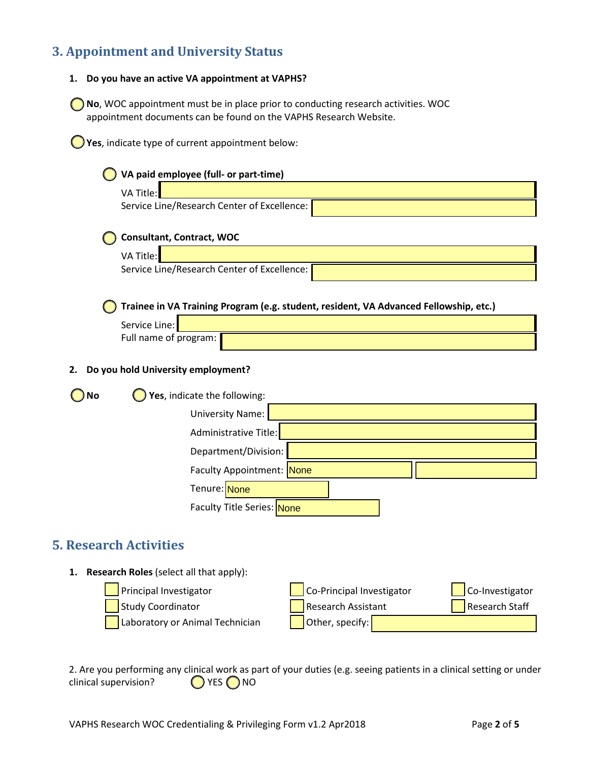# **3. Appointment and University Status**

| 1. Do you have an active VA appointment at VAPHS? |
|---------------------------------------------------|
|                                                   |

**No**, WOC appointment must be in place prior to conducting research activities. WOC appointment documents can be found on the VAPHS Research Website.

**Yes**, indicate type of current appointment below:

| VA paid employee (full- or part-time)                                                                  |  |
|--------------------------------------------------------------------------------------------------------|--|
| VA Title:                                                                                              |  |
| Service Line/Research Center of Excellence:                                                            |  |
| <b>Consultant, Contract, WOC</b>                                                                       |  |
| VA Title:                                                                                              |  |
| Service Line/Research Center of Excellence:                                                            |  |
| Trainee in VA Training Program (e.g. student, resident, VA Advanced Fellowship, etc.)<br>Service Line: |  |
| Full name of program:                                                                                  |  |
| Do you hold University employment?<br>2.                                                               |  |
| Yes, indicate the following:<br><b>No</b>                                                              |  |
| <b>University Name:</b>                                                                                |  |
| Administrative Title:                                                                                  |  |
| Department/Division:                                                                                   |  |
| Faculty Appointment: None                                                                              |  |
| Tenure: None                                                                                           |  |
| Faculty Title Series: None                                                                             |  |
| <b>5. Research Activities</b>                                                                          |  |
| <b>Research Roles</b> (select all that apply):<br>1.                                                   |  |

| $\left  \right $ Principal Investigator | $\log$ Co-Principal Investigator | $\int$ Co-Investigator |
|-----------------------------------------|----------------------------------|------------------------|
| Study Coordinator                       | Research Assistant               | Research Staff         |
| Laboratory or Animal Technician         | Other, specify:                  |                        |

2. Are you performing any clinical work as part of your duties (e.g. seeing patients in a clinical setting or under clinical supervision? clinical supervision?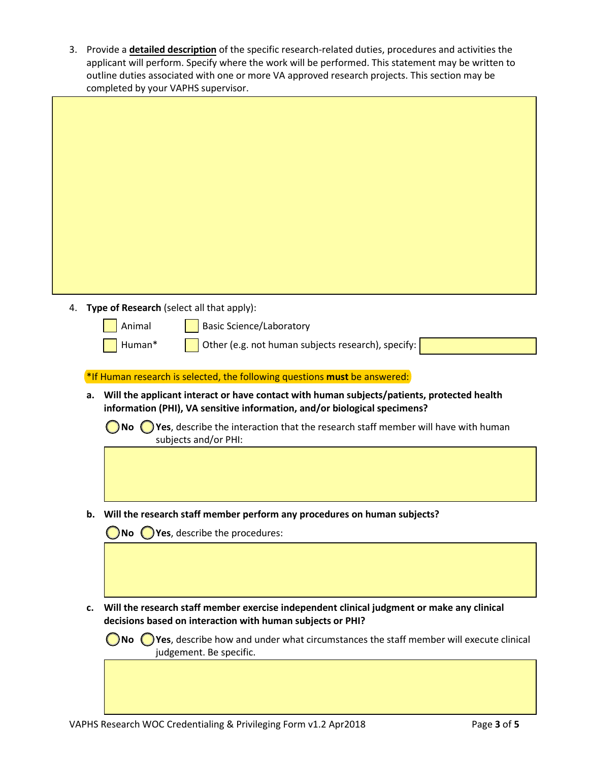3. Provide a **detailed description** of the specific research-related duties, procedures and activities the applicant will perform. Specify where the work will be performed. This statement may be written to outline duties associated with one or more VA approved research projects. This section may be completed by your VAPHS supervisor.

| 4. | Type of Research (select all that apply):                                                                                                                               |
|----|-------------------------------------------------------------------------------------------------------------------------------------------------------------------------|
|    | Animal<br><b>Basic Science/Laboratory</b>                                                                                                                               |
|    | Human*<br>Other (e.g. not human subjects research), specify:                                                                                                            |
|    | *If Human research is selected, the following questions must be answered:                                                                                               |
| a. | Will the applicant interact or have contact with human subjects/patients, protected health<br>information (PHI), VA sensitive information, and/or biological specimens? |
|    | $\bigcirc$ Yes, describe the interaction that the research staff member will have with human<br>No (<br>subjects and/or PHI:                                            |
|    |                                                                                                                                                                         |
|    |                                                                                                                                                                         |
|    | b. Will the research staff member perform any procedures on human subjects?                                                                                             |
|    | Yes, describe the procedures:<br>( ) No ( )                                                                                                                             |
|    |                                                                                                                                                                         |
|    |                                                                                                                                                                         |
| c. | Will the research staff member exercise independent clinical judgment or make any clinical<br>decisions based on interaction with human subjects or PHI?                |
|    | No $\bigcirc$ Yes, describe how and under what circumstances the staff member will execute clinical                                                                     |
|    | judgement. Be specific.                                                                                                                                                 |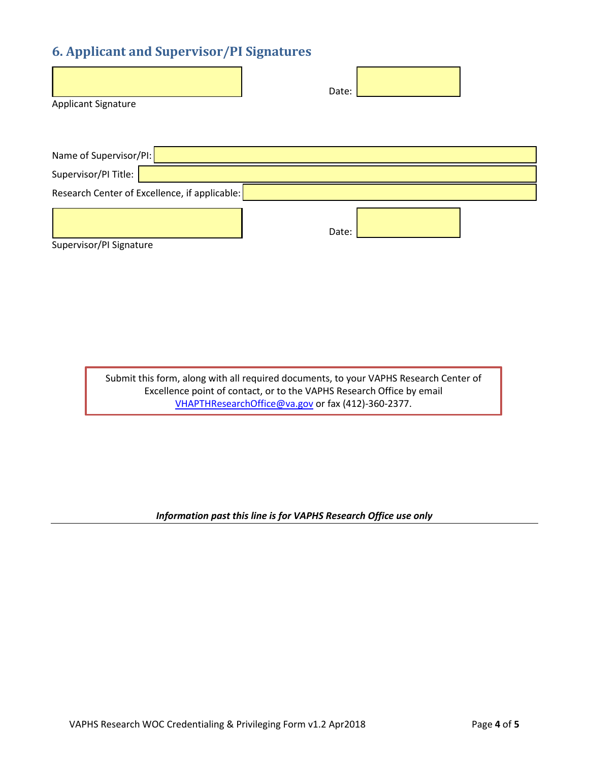# **6. Applicant and Supervisor/PI Signatures**

|                     | Date: |  |
|---------------------|-------|--|
| Applicant Signature |       |  |

| Name of Supervisor/PI:  |                                               |       |  |
|-------------------------|-----------------------------------------------|-------|--|
| Supervisor/PI Title:    |                                               |       |  |
|                         | Research Center of Excellence, if applicable: |       |  |
|                         |                                               |       |  |
|                         |                                               | Date: |  |
| Supervisor/PI Signature |                                               |       |  |

Submit this form, along with all required documents, to your VAPHS Research Center of Excellence point of contact, or to the VAPHS Research Office by email [VHAPTHResearchOffice@va.gov](mailto:VHAPTHResearchOffice@va.gov) or fax (412)-360-2377.

*Information past this line is for VAPHS Research Office use only*